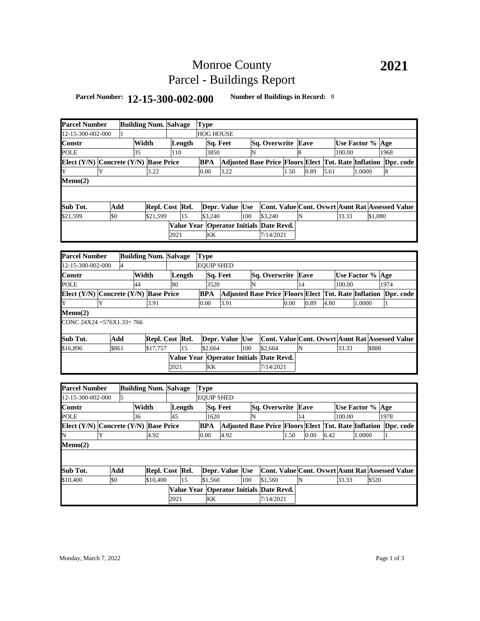# Monroe County Parcel - Buildings Report

### **Parcel Number: 12-15-300-002-000 Number of Buildings in Record:** <sup>8</sup>

| <b>Parcel Number</b>                      |     |                |       | <b>Building Num. Salvage</b> |      |        | <b>Type</b>                             |                 |     |                                                                |      |                                                        |      |        |                  |         |      |  |
|-------------------------------------------|-----|----------------|-------|------------------------------|------|--------|-----------------------------------------|-----------------|-----|----------------------------------------------------------------|------|--------------------------------------------------------|------|--------|------------------|---------|------|--|
| 2-15-300-002-000                          |     |                |       |                              |      |        | <b>HOG HOUSE</b>                        |                 |     |                                                                |      |                                                        |      |        |                  |         |      |  |
| Constr                                    |     |                | Width |                              |      | Length | Sq. Feet                                |                 |     | Sq. Overwrite Eave                                             |      |                                                        |      |        | Use Factor % Age |         |      |  |
| POLE                                      |     |                | 35    |                              | 110  |        | 3850                                    |                 | N   |                                                                |      | 8                                                      |      | 100.00 |                  |         | 1968 |  |
| Elect (Y/N) Concrete (Y/N) Base Price     |     |                |       |                              |      |        | <b>BPA</b>                              |                 |     | Adjusted Base Price Floors Elect Tot. Rate Inflation Dpr. code |      |                                                        |      |        |                  |         |      |  |
| Y                                         | Y   |                |       | 3.22                         |      |        | 0.00                                    | 3.22            |     |                                                                | 1.50 | 0.89                                                   | 5.61 |        | 1.0000           |         | 8    |  |
| Memo(2)                                   |     |                |       |                              |      |        |                                         |                 |     |                                                                |      |                                                        |      |        |                  |         |      |  |
|                                           |     |                |       |                              |      |        |                                         |                 |     |                                                                |      |                                                        |      |        |                  |         |      |  |
|                                           |     |                |       |                              |      |        |                                         |                 |     |                                                                |      |                                                        |      |        |                  |         |      |  |
| Sub Tot.                                  |     | Add            |       | Repl. Cost Rel.              |      |        |                                         | Depr. Value Use |     | Cont. Value Cont. Ovwrt Asmt Rat Assessed Value                |      |                                                        |      |        |                  |         |      |  |
| \$21,599                                  | \$0 |                |       | \$21,599                     |      | 15     | \$3,240                                 |                 | 100 | \$3,240                                                        |      | N                                                      |      | 33.33  |                  | \$1,080 |      |  |
|                                           |     |                |       |                              |      |        | Value Year Operator Initials Date Revd. |                 |     |                                                                |      |                                                        |      |        |                  |         |      |  |
|                                           |     |                |       |                              | 2021 |        | KK                                      |                 |     | 7/14/2021                                                      |      |                                                        |      |        |                  |         |      |  |
|                                           |     |                |       |                              |      |        |                                         |                 |     |                                                                |      |                                                        |      |        |                  |         |      |  |
| <b>Parcel Number</b>                      |     |                |       | <b>Building Num. Salvage</b> |      |        | <b>Type</b>                             |                 |     |                                                                |      |                                                        |      |        |                  |         |      |  |
| 12-15-300-002-000                         |     | $\overline{4}$ |       |                              |      |        | <b>EOUIP SHED</b>                       |                 |     |                                                                |      |                                                        |      |        |                  |         |      |  |
| Constr                                    |     |                | Width |                              |      | Length |                                         | Sq. Feet        |     | Sq. Overwrite Eave                                             |      |                                                        |      |        | Use Factor % Age |         |      |  |
| POLE                                      |     |                | 44    |                              | 80   |        | 3520                                    |                 | N   |                                                                |      | 14                                                     |      | 100.00 |                  |         | 1974 |  |
| Elect (Y/N) Concrete (Y/N) Base Price     |     |                |       |                              |      |        | <b>BPA</b>                              |                 |     | Adjusted Base Price Floors Elect Tot. Rate Inflation Dpr. code |      |                                                        |      |        |                  |         |      |  |
| Y                                         | Y   |                |       | 3.91                         |      |        | 0.00                                    | 3.91            |     |                                                                | 0.00 | 0.89                                                   | 4.80 |        | 1.0000           |         |      |  |
| Memo(2)                                   |     |                |       |                              |      |        |                                         |                 |     |                                                                |      |                                                        |      |        |                  |         |      |  |
| CONC 24X24 = 576X1.33 = 766               |     |                |       |                              |      |        |                                         |                 |     |                                                                |      |                                                        |      |        |                  |         |      |  |
| Sub Tot.                                  |     | Add            |       | Repl. Cost Rel.              |      |        |                                         | Depr. Value Use |     |                                                                |      | Cont. Value Cont. Ovwrt Asmt Rat Assessed Value        |      |        |                  |         |      |  |
| \$16,896                                  |     | \$861          |       | \$17,757                     |      | 15     | \$2,664                                 |                 | 100 | \$2,664                                                        |      | N                                                      |      | 33.33  |                  | \$888   |      |  |
|                                           |     |                |       |                              |      |        | Value Year Operator Initials Date Revd. |                 |     |                                                                |      |                                                        |      |        |                  |         |      |  |
|                                           |     |                |       |                              | 2021 |        | KK                                      |                 |     | 7/14/2021                                                      |      |                                                        |      |        |                  |         |      |  |
|                                           |     |                |       |                              |      |        |                                         |                 |     |                                                                |      |                                                        |      |        |                  |         |      |  |
| <b>Parcel Number</b>                      |     |                |       | <b>Building Num. Salvage</b> |      |        | <b>Type</b>                             |                 |     |                                                                |      |                                                        |      |        |                  |         |      |  |
| 2-15-300-002-000                          |     | 5              |       |                              |      |        | <b>EOUIP SHED</b>                       |                 |     |                                                                |      |                                                        |      |        |                  |         |      |  |
| Constr                                    |     |                | Width |                              |      | Length | Sq. Feet                                |                 |     | Sq. Overwrite Eave                                             |      |                                                        |      |        | Use Factor % Age |         |      |  |
| <b>POLE</b>                               |     |                | 36    |                              | 45   |        | 1620                                    |                 | N   |                                                                |      | 14                                                     |      | 100.00 |                  |         | 1978 |  |
| Elect $(Y/N)$ Concrete $(Y/N)$ Base Price |     |                |       |                              |      |        | <b>BPA</b>                              |                 |     | Adjusted Base Price Floors Elect Tot. Rate Inflation Dpr. code |      |                                                        |      |        |                  |         |      |  |
|                                           | Y   |                |       | 4.92                         |      |        | 0.00                                    | 4.92            |     |                                                                | 1.50 | 0.00                                                   | 6.42 |        | 1.0000           |         | 1    |  |
| Memo(2)                                   |     |                |       |                              |      |        |                                         |                 |     |                                                                |      |                                                        |      |        |                  |         |      |  |
|                                           |     |                |       |                              |      |        |                                         |                 |     |                                                                |      |                                                        |      |        |                  |         |      |  |
| Sub Tot.                                  |     | Add            |       | Repl. Cost Rel.              |      |        |                                         | Depr. Value Use |     |                                                                |      | <b>Cont. Value Cont. Ovwrt Asmt Rat Assessed Value</b> |      |        |                  |         |      |  |
| \$10,400                                  | \$0 |                |       | \$10,400                     |      | 15     | \$1,560                                 |                 | 100 | \$1,560                                                        |      | N                                                      |      | 33.33  |                  | \$520   |      |  |
|                                           |     |                |       |                              |      |        | Value Year Operator Initials Date Revd. |                 |     |                                                                |      |                                                        |      |        |                  |         |      |  |
|                                           |     |                |       |                              | 2021 |        | KK                                      |                 |     | 7/14/2021                                                      |      |                                                        |      |        |                  |         |      |  |
|                                           |     |                |       |                              |      |        |                                         |                 |     |                                                                |      |                                                        |      |        |                  |         |      |  |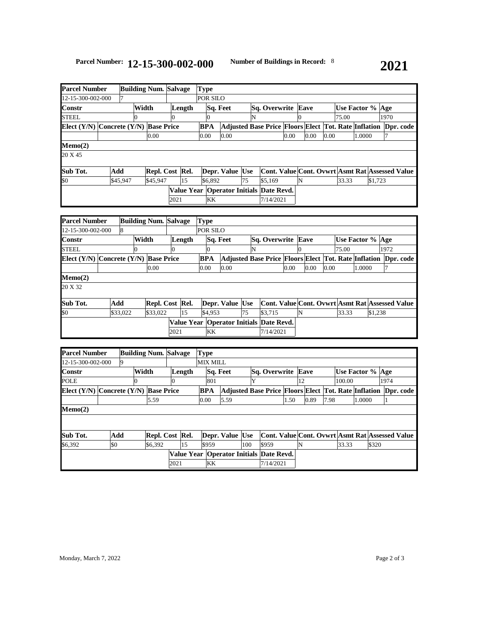|                                           | <b>Building Num. Salvage</b><br><b>Parcel Number</b> |          |       |                 |      |    | Type     |         |                                                                |                           |           |  |      |      |  |      |                  |        |         |      |                                                 |
|-------------------------------------------|------------------------------------------------------|----------|-------|-----------------|------|----|----------|---------|----------------------------------------------------------------|---------------------------|-----------|--|------|------|--|------|------------------|--------|---------|------|-------------------------------------------------|
| 12-15-300-002-000                         |                                                      |          |       |                 |      |    | POR SILO |         |                                                                |                           |           |  |      |      |  |      |                  |        |         |      |                                                 |
| Constr                                    |                                                      |          | Width | Length          |      |    | Sq. Feet |         |                                                                | <b>Sq. Overwrite Eave</b> |           |  |      |      |  |      | Use Factor % Age |        |         |      |                                                 |
| STEEL                                     |                                                      |          |       |                 |      |    |          |         |                                                                | N                         |           |  |      |      |  |      | 75.00            |        |         | 1970 |                                                 |
| Elect $(Y/N)$ Concrete $(Y/N)$ Base Price |                                                      |          |       |                 |      |    | BPA      |         | Adjusted Base Price Floors Elect Tot. Rate Inflation Dpr. code |                           |           |  |      |      |  |      |                  |        |         |      |                                                 |
|                                           |                                                      |          |       | 0.00            |      |    | 0.00     |         | 0.00                                                           |                           |           |  | 0.00 | 0.00 |  | 0.00 |                  | 1.0000 |         |      |                                                 |
| Memo(2)                                   |                                                      |          |       |                 |      |    |          |         |                                                                |                           |           |  |      |      |  |      |                  |        |         |      |                                                 |
| 20 X 45                                   |                                                      |          |       |                 |      |    |          |         |                                                                |                           |           |  |      |      |  |      |                  |        |         |      |                                                 |
| Sub Tot.                                  | Add                                                  |          |       | Repl. Cost Rel. |      |    |          |         | Depr. Value Use                                                |                           |           |  |      |      |  |      |                  |        |         |      | Cont. Value Cont. Ovwrt Asmt Rat Assessed Value |
| \$0                                       |                                                      | \$45,947 |       | \$45,947        |      | 15 |          | \$6.892 |                                                                | 75                        | \$5,169   |  |      |      |  |      | 33.33            |        | \$1,723 |      |                                                 |
|                                           |                                                      |          |       |                 |      |    |          |         | Value Year   Operator Initials Date Revd.                      |                           |           |  |      |      |  |      |                  |        |         |      |                                                 |
|                                           |                                                      |          |       |                 | 2021 |    |          | KK      |                                                                |                           | 7/14/2021 |  |      |      |  |      |                  |        |         |      |                                                 |

| <b>Parcel Number</b>                  |     |          | <b>Building Num.</b> | <b>Salvage</b>  | <b>Type</b> |                 |  |    |                                                                |      |                                                 |      |                  |        |         |      |  |
|---------------------------------------|-----|----------|----------------------|-----------------|-------------|-----------------|--|----|----------------------------------------------------------------|------|-------------------------------------------------|------|------------------|--------|---------|------|--|
| 12-15-300-002-000                     |     | 8        |                      | POR SILO        |             |                 |  |    |                                                                |      |                                                 |      |                  |        |         |      |  |
| Constr                                |     |          |                      | Length          |             | Sq. Feet        |  |    | <b>Sq. Overwrite Eave</b>                                      |      |                                                 |      | Use Factor % Age |        |         |      |  |
| <b>STEEL</b>                          |     |          |                      |                 |             |                 |  | N  |                                                                |      |                                                 |      | 75.00            |        |         | 1972 |  |
| Elect (Y/N) Concrete (Y/N) Base Price |     |          |                      |                 | <b>BPA</b>  |                 |  |    | Adjusted Base Price Floors Elect Tot. Rate Inflation Dpr. code |      |                                                 |      |                  |        |         |      |  |
|                                       |     |          | 0.00                 |                 | 0.00        | 0.00            |  |    |                                                                | 0.00 | 0.00                                            | 0.00 |                  | 1.0000 |         |      |  |
| Memo(2)                               |     |          |                      |                 |             |                 |  |    |                                                                |      |                                                 |      |                  |        |         |      |  |
| 20 X 32                               |     |          |                      |                 |             |                 |  |    |                                                                |      |                                                 |      |                  |        |         |      |  |
|                                       |     |          |                      |                 |             |                 |  |    |                                                                |      |                                                 |      |                  |        |         |      |  |
| Sub Tot.                              | Add |          |                      | Repl. Cost Rel. |             | Depr. Value Use |  |    |                                                                |      | Cont. Value Cont. Ovwrt Asmt Rat Assessed Value |      |                  |        |         |      |  |
| \$0                                   |     | \$33,022 | \$33,022             | 15              |             | \$4.953         |  | 75 | \$3.715                                                        |      | ΙN                                              |      | 33.33            |        | \$1,238 |      |  |
|                                       |     |          |                      |                 |             |                 |  |    | Value Year   Operator Initials   Date Revd.                    |      |                                                 |      |                  |        |         |      |  |
|                                       |     |          |                      | 2021            |             | KK              |  |    | 7/14/2021                                                      |      |                                                 |      |                  |        |         |      |  |

| <b>Parcel Number</b> |   |                 |       |    |                                                                                                                |                                           |                                            |                 |      |                                                          |                                   |       |      |        |        |                                                                                                                                                     |
|----------------------|---|-----------------|-------|----|----------------------------------------------------------------------------------------------------------------|-------------------------------------------|--------------------------------------------|-----------------|------|----------------------------------------------------------|-----------------------------------|-------|------|--------|--------|-----------------------------------------------------------------------------------------------------------------------------------------------------|
| 12-15-300-002-000    |   |                 |       |    |                                                                                                                |                                           |                                            |                 |      |                                                          |                                   |       |      |        |        |                                                                                                                                                     |
|                      |   |                 |       |    |                                                                                                                |                                           |                                            |                 |      |                                                          |                                   |       |      |        |        |                                                                                                                                                     |
|                      | 0 |                 |       |    |                                                                                                                |                                           | Y                                          |                 |      | 12                                                       |                                   |       |      |        |        |                                                                                                                                                     |
|                      |   |                 |       |    |                                                                                                                |                                           |                                            |                 |      |                                                          |                                   |       |      |        |        | Dpr. code                                                                                                                                           |
|                      |   | 5.59            |       |    |                                                                                                                |                                           |                                            |                 | 1.50 |                                                          |                                   |       |      |        |        |                                                                                                                                                     |
|                      |   |                 |       |    |                                                                                                                |                                           |                                            |                 |      |                                                          |                                   |       |      |        |        |                                                                                                                                                     |
|                      |   |                 |       |    |                                                                                                                |                                           |                                            |                 |      |                                                          |                                   |       |      |        |        |                                                                                                                                                     |
|                      |   |                 |       |    |                                                                                                                |                                           |                                            |                 |      |                                                          |                                   |       |      |        |        |                                                                                                                                                     |
|                      |   |                 |       |    |                                                                                                                |                                           |                                            |                 |      |                                                          |                                   |       |      |        |        |                                                                                                                                                     |
| \$0                  |   | \$6,392         |       | 15 |                                                                                                                |                                           | 100                                        | \$959           |      | N                                                        |                                   | 33.33 |      |        |        |                                                                                                                                                     |
|                      |   |                 |       |    |                                                                                                                |                                           |                                            |                 |      |                                                          |                                   |       |      |        |        |                                                                                                                                                     |
|                      |   |                 |       |    |                                                                                                                |                                           |                                            |                 |      |                                                          |                                   |       |      |        |        |                                                                                                                                                     |
|                      |   | <b>Q</b><br>Add | Width |    | <b>Building Num. Salvage</b><br>Length<br>Elect $(Y/N)$ Concrete $(Y/N)$ Base Price<br>Repl. Cost Rel.<br>2021 | Type<br>801<br>BPA<br>0.00<br>\$959<br>KK | <b>MIX MILL</b><br><b>Sq. Feet</b><br>5.59 | Depr. Value Use |      | Value Year   Operator Initials   Date Revd.<br>7/14/2021 | <b>Sq. Overwrite Eave</b><br>0.89 |       | 7.98 | 100.00 | 1.0000 | Use Factor % Age<br>1974<br><b>Adjusted Base Price Floors Elect Tot. Rate Inflation</b><br>Cont. Value Cont. Ovwrt Asmt Rat Assessed Value<br>\$320 |